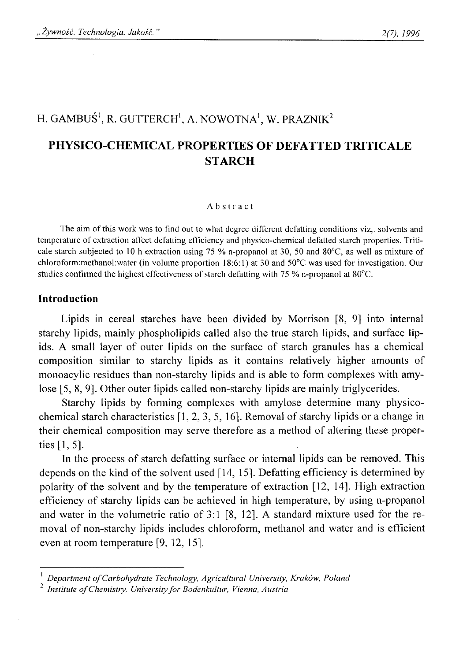# H. GAMBUŚ<sup>1</sup>, R. GUTTERCH<sup>1</sup>, A. NOWOTNA<sup>1</sup>, W. PRAZNIK<sup>2</sup>

# **PHYSICO-CHEMICAL PROPERTIES OF DEFATTED TRITICALE STARCH**

#### Abstract

**The aim of this work was to find out to what degree different defatting conditions viz,, solvents and temperature of extraction affect defatting efficiency and physico-chemical defatted starch properties. Triticale starch subjected to 10 h extraction using 75** *%* **n-propanol at 30, 50 and 80°C, as well as mixture of chloroform:methanol:water (in volume proportion 18:6:1) at 30 and 50°C was used for investigation. Our studies confirmed the highest effectiveness of starch defatting with 75 % n-propanol at 80°C.**

### **Introduction**

Lipids in cereal starches have been divided by Morrison [8, 9] into internal starchy lipids, mainly phospholipids called also the true starch lipids, and surface lipids. A small layer of outer lipids on the surface of starch granules has a chemical composition similar to starchy lipids as it contains relatively higher amounts of monoacylic residues than non-starchy lipids and is able to form complexes with amylose [5, 8, 9]. Other outer lipids called non-starchy lipids are mainly triglycerides.

Starchy lipids by forming complexes with amylose determine many physicochemical starch characteristics [1, 2, 3, 5, 16]. Removal of starchy lipids or a change in their chemical composition may serve therefore as a method of altering these properties [1, 5].

In the process of starch defatting surface or internal lipids can be removed. This depends on the kind of the solvent used [14, 15]. Defatting efficiency is determined by polarity of the solvent and by the temperature of extraction [12, 14]. High extraction efficiency of starchy lipids can be achieved in high temperature, by using n-propanol and water in the volumetric ratio of 3:1 [8, 12]. A standard mixture used for the removal of non-starchy lipids includes chloroform, methanol and water and is efficient even at room temperature [9, 12, 15].

<sup>&</sup>lt;sup>1</sup> Department of Carbohydrate Technology, Agricultural University, Kraków, Poland

*Institute of Chemistry, University for Bodenkultur, Vienna, Austria*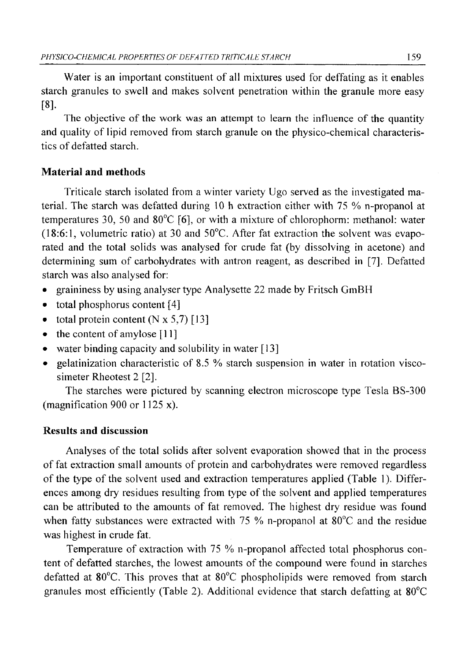Water is an important constituent of all mixtures used for deffating as it enables starch granules to swell and makes solvent penetration within the granule more easy [**8**].

The objective of the work was an attempt to learn the influence of the quantity and quality of lipid removed from starch granule on the physico-chemical characteristics of defatted starch.

## **Material and methods**

Triticale starch isolated from a winter variety Ugo served as the investigated material. The starch was defatted during 10 h extraction either with 75 % n-propanol at temperatures 30, 50 and 80°C [6], or with a mixture of chlorophorm: methanol: water (18:6:1, volumetric ratio) at 30 and 50°C. After fat extraction the solvent was evaporated and the total solids was analysed for crude fat (by dissolving in acetone) and determining sum of carbohydrates with antron reagent, as described in [7], Defatted starch was also analysed for:

- graininess by using analyser type Analysette 22 made by Fritsch GmBH
- total phosphorus content [4]
- total protein content  $(N \times 5,7)$  [13]
- the content of amylose [11]
- water binding capacity and solubility in water [13]
- gelatinization characteristic of 8.5 % starch suspension in water in rotation viscosimeter Rheotest 2 [2],

The starches were pictured by scanning electron microscope type Tesla BS-300 (magnification 900 or 1125 x).

## **Results and discussion**

Analyses of the total solids after solvent evaporation showed that in the process of fat extraction small amounts of protein and carbohydrates were removed regardless of the type of the solvent used and extraction temperatures applied (Table 1). Differences among dry residues resulting from type of the solvent and applied temperatures can be attributed to the amounts of fat removed. The highest dry residue was found when fatty substances were extracted with 75 % n-propanol at  $80^{\circ}$ C and the residue was highest in crude fat.

Temperature of extraction with 75 % n-propanol affected total phosphorus content of defatted starches, the lowest amounts of the compound were found in starches defatted at 80°C. This proves that at 80°C phospholipids were removed from starch granules most efficiently (Table 2). Additional evidence that starch defatting at  $80^{\circ}$ C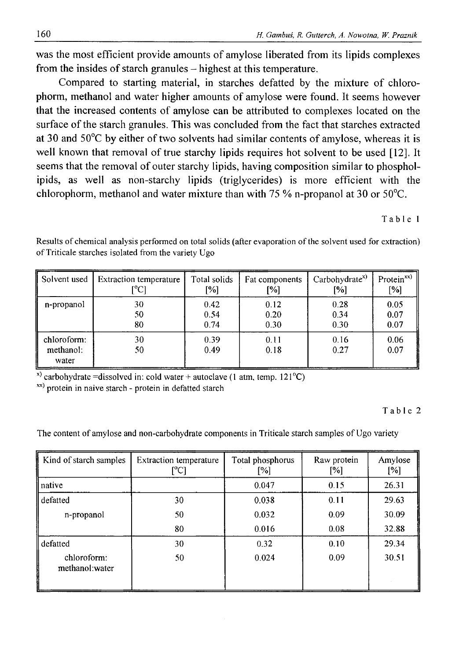was the most efficient provide amounts of amylose liberated from its lipids complexes from the insides of starch granules – highest at this temperature.

Compared to starting material, in starches defatted by the mixture of chlorophorm, methanol and water higher amounts of amylose were found. It seems however that the increased contents of amylose can be attributed to complexes located on the surface of the starch granules. This was concluded from the fact that starches extracted at 30 and 50°C by either of two solvents had similar contents of amylose, whereas it is well known that removal of true starchy lipids requires hot solvent to be used [12]. It seems that the removal of outer starchy lipids, having composition similar to phospholipids, as well as non-starchy lipids (triglycerides) is more efficient with the chlorophorm, methanol and water mixture than with 75 % n-propanol at 30 or 50°C.

**Table 1**

| Solvent used                      | <b>Extraction temperature</b> | Total solids | Fat components | Carbohydrate <sup>x)</sup> | Protein <sup>xx</sup> ) |
|-----------------------------------|-------------------------------|--------------|----------------|----------------------------|-------------------------|
|                                   | [°C]                          | [%]          | [%]            | [%]                        | [%]                     |
| n-propanol                        | 30                            | 0.42         | 0.12           | 0.28                       | 0.05                    |
|                                   | 50                            | 0.54         | 0.20           | 0.34                       | 0.07                    |
|                                   | 80                            | 0.74         | 0.30           | 0.30                       | 0.07                    |
| chloroform:<br>methanol:<br>water | 30<br>50                      | 0.39<br>0.49 | 0.11<br>0.18   | 0.16<br>0.27               | 0.06<br>0.07            |

Results of chemical analysis performed on total solids (after evaporation of the solvent used for extraction) **of Triticale starches isolated from the variety Ugo**

**x) carbohydrate =dissolved in: cold water + autoclave (1 atm, temp. 121°C)**

**x>t) protein in naive starch - protein in defatted starch**

Table 2

The content of amylose and non-carbohydrate components in Triticale starch samples of Ugo variety

| Kind of starch samples        | <b>Extraction temperature</b><br>[°C] | Total phosphorus<br>[%] | Raw protein<br>[%] | Amylose<br>[%] |
|-------------------------------|---------------------------------------|-------------------------|--------------------|----------------|
| native                        |                                       | 0.047                   | 0.15               | 26.31          |
| defatted                      | 30                                    | 0.038                   | 0.11               | 29.63          |
| n-propanol                    | 50                                    | 0.032                   | 0.09               | 30.09          |
|                               | 80                                    | 0.016                   | 0.08               | 32.88          |
| defatted                      | 30                                    | 0.32                    | 0.10               | 29.34          |
| chloroform:<br>methanol:water | 50                                    | 0.024                   | 0.09               | 30.51          |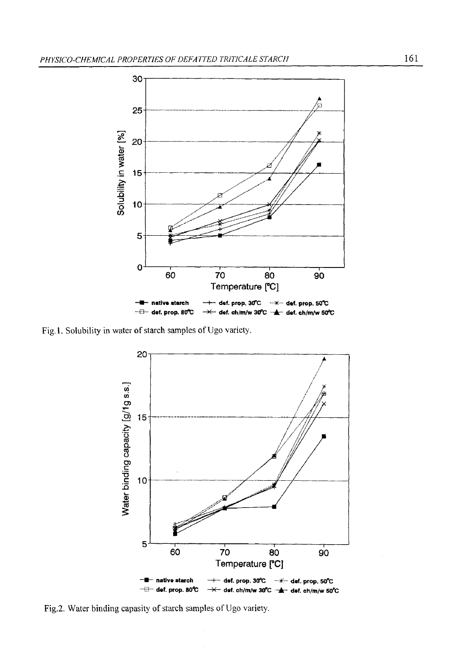

Fig.1. Solubility in water of starch samples of Ugo variety.



Fig.2. Water binding capasity of starch samples of Ugo variety.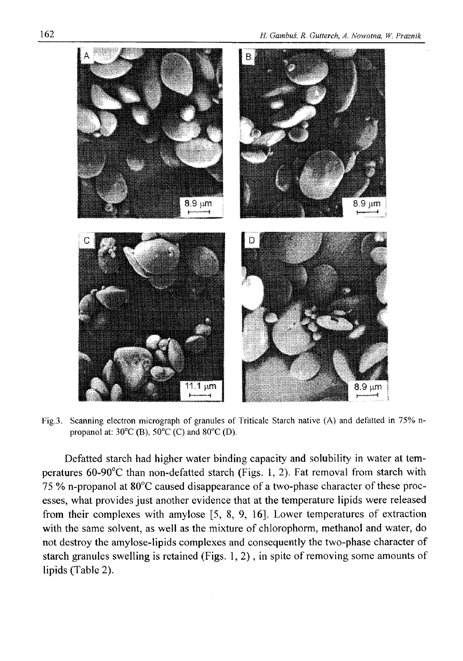

Fig.3. Scanning electron micrograph of granules of Triticale Starch native (A) and defatted in 75% n**propanol at: 30°C (B), 50°C (C) and 80°C (D).**

Defatted starch had higher water binding capacity and solubility in water at temperatures 60-90°C than non-defatted starch (Figs. 1, 2). Fat removal from starch with 75 % n-propanol at 80°C caused disappearance of a two-phase character of these processes, what provides just another evidence that at the temperature lipids were released from their complexes with amylose [5, 8, 9, 16]. Lower temperatures of extraction with the same solvent, as well as the mixture of chlorophorm, methanol and water, do not destroy the amylose-lipids complexes and consequently the two-phase character of starch granules swelling is retained (Figs. 1,2), in spite of removing some amounts of lipids (Table 2).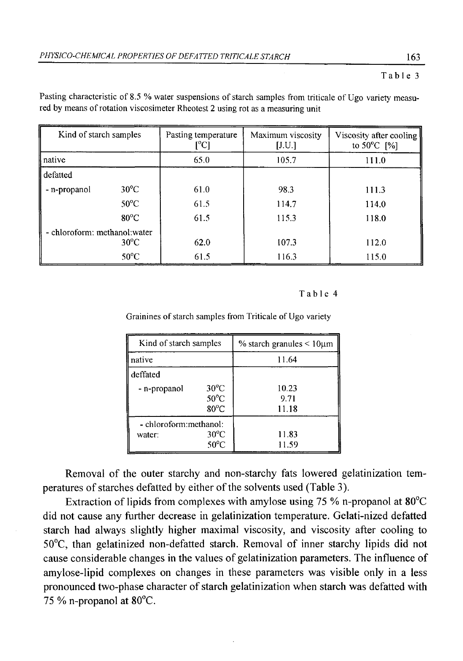#### **Table 3**

| Kind of starch samples        |                | Pasting temperature<br>[°C] | Maximum viscosity<br>[J.U.] | Viscosity after cooling<br>to $50^{\circ}$ C [%] |
|-------------------------------|----------------|-----------------------------|-----------------------------|--------------------------------------------------|
| native                        |                | 65.0                        | 105.7                       | 111.0                                            |
| defatted                      |                |                             |                             |                                                  |
| - n-propanol                  | $30^{\circ}$ C | 61.0                        | 98.3                        | 111.3                                            |
|                               | $50^{\circ}$ C | 61.5                        | 114.7                       | 114.0                                            |
|                               | $80^{\circ}$ C | 61.5                        | 115.3                       | 118.0                                            |
| - chloroform: methanol: water |                |                             |                             |                                                  |
|                               | $30^{\circ}$ C | 62.0                        | 107.3                       | 112.0                                            |
|                               | $50^{\circ}$ C | 61.5                        | 116.3                       | 115.0                                            |

Pasting characteristic of 8.5 % water suspensions of starch samples from triticale of Ugo variety measured by means of rotation viscosimeter Rheotest 2 using rot as a measuring unit

#### **Table 4**

Grainines of starch samples from Triticale of Ugo variety

| Kind of starch samples                                               |                                                    | $\%$ starch granules $\leq 10 \mu m$ |  |
|----------------------------------------------------------------------|----------------------------------------------------|--------------------------------------|--|
| native                                                               |                                                    | 11.64                                |  |
| deffated                                                             |                                                    |                                      |  |
| - n-propanol                                                         | $30^{\circ}$ C<br>$50^{\circ}$ C<br>$80^{\circ}$ C | 10.23<br>9.71<br>11.18               |  |
| - chloroform:methanol:<br>$30^{\circ}$ C<br>water:<br>$50^{\circ}$ C |                                                    | 11.83<br>11.59                       |  |

Removal of the outer starchy and non-starchy fats lowered gelatinization temperatures of starches defatted by either of the solvents used (Table 3).

Extraction of lipids from complexes with amylose using 75 % n-propanol at 80°C did not cause any further decrease in gelatinization temperature. Gelati-nized defatted starch had always slightly higher maximal viscosity, and viscosity after cooling to 50°C, than gelatinized non-defatted starch. Removal of inner starchy lipids did not cause considerable changes in the values of gelatinization parameters. The influence of amylose-lipid complexes on changes in these parameters was visible only in a less pronounced two-phase character of starch gelatinization when starch was defatted with 75 % n-propanol at  $80^{\circ}$ C.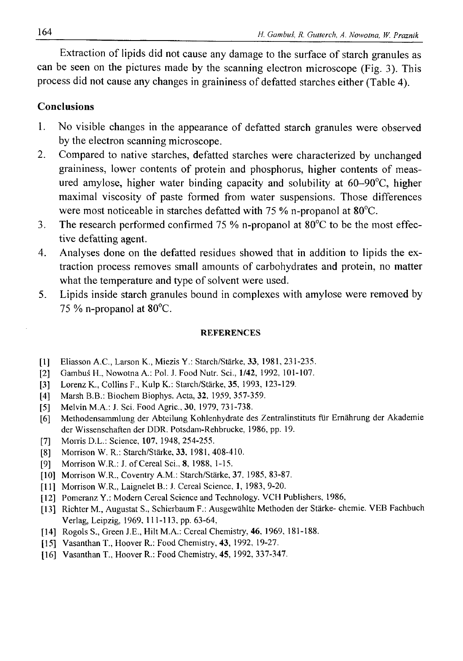Extraction of lipids did not cause any damage to the surface of starch granules as can be seen on the pictures made by the scanning electron microscope (Fig. 3). This process did not cause any changes in graininess of defatted starches either (Table 4).

### **Conclusions**

- 1. No visible changes in the appearance of defatted starch granules were observed by the electron scanning microscope.
- 2. Compared to native starches, defatted starches were characterized by unchanged graininess, lower contents of protein and phosphorus, higher contents of measured amylose, higher water binding capacity and solubility at 60-90°C, higher maximal viscosity of paste formed from water suspensions. Those differences were most noticeable in starches defatted with 75 % n-propanol at 80°C.
- 3. The research performed confirmed 75 % n-propanol at 80°C to be the most effective defatting agent.
- 4. Analyses done on the defatted residues showed that in addition to lipids the extraction process removes small amounts of carbohydrates and protein, no matter what the temperature and type of solvent were used.
- 5. Lipids inside starch granules bound in complexes with amylose were removed by 75 % n-propanol at 80°C.

#### **REFERENCES**

- **[1] Eliasson A.C., Larson K., Miezis Y.: Starch/Starke, 33, 1981, 231-235.**
- **[2] Gambuś H., Nowotna A.: Pol. J. Food Nutr. Sci., 1/42, 1992, 101-107.**
- **[3] Lorenz K., Collins F., Kulp K.: Starch/Starke, 35, 1993, 123-129.**
- **[4] Marsh B.B.: Biochem Biophys. Acta, 32, 1959, 357-359.**
- **[5] Melvin M.A.: J. Sci. Food Agric., 30, 1979, 731-738.**
- **[6] Methodensammlung der Abteilung Kohlenhydrate des Zentralinstituts fur Ernahrung der Akademie der Wissenschaften der DDR. Potsdam-Rehbrucke, 1986, pp. 19.**
- **[7] Morris D.L.: Science, 107, 1948, 254-255.**
- **[8] Morrison W. R.: Starch/Starke, 33, 1981, 408-410.**
- **[9] Morrison W.R.: J. of Cereal Sci., 8, 1988, 1-15.**
- **[10] Morrison W.R., Coventry A.M.: Starch/Starke, 37, 1985, 83-87.**
- **[11] Morrison W.R., Laignelet B.: J. Cereal Science, 1, 1983, 9-20.**
- **[12] Pomeranz Y.: Modern Cereal Science and Technology. VCFI Publishers, 1986,**
- **[13] Richter M., Augustat S., Schierbaum F.: Ausgewahlte Methoden der Starke- chemie. VEB Fachbuch Verlag, Leipzig, 1969, 111-113, pp. 63-64,**
- **[14] Rogols S., Green J.E., Hilt M.A.: Cereal Chemistry, 46, 1969, 181-188.**
- **[15] Vasanthan T., Hoover R.: Food Chemistry, 43, 1992, 19-27.**
- **[16] Vasanthan T., Hoover R.: Food Chemistry, 45, 1992, 337-347.**